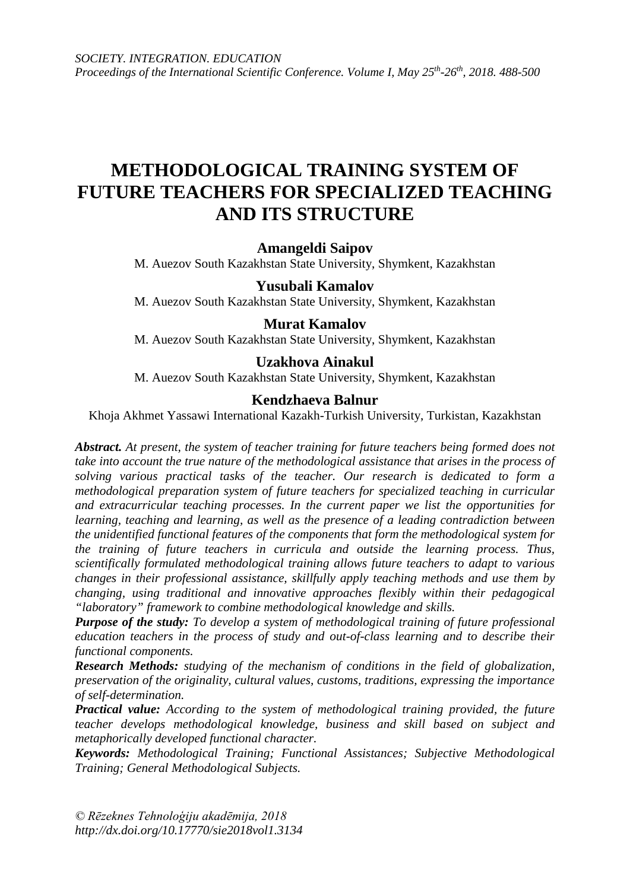# **METHODOLOGICAL TRAINING SYSTEM OF FUTURE TEACHERS FOR SPECIALIZED TEACHING AND ITS STRUCTURE**

### **Amangeldi Saipov**

M. Auezov South Kazakhstan State University, Shymkent, Kazakhstan

### **Yusubali Kamalov**

M. Auezov South Kazakhstan State University, Shymkent, Kazakhstan

#### **Murat Kamalov**

M. Auezov South Kazakhstan State University, Shymkent, Kazakhstan

### **Uzakhova Ainakul**

M. Auezov South Kazakhstan State University, Shymkent, Kazakhstan

#### **Kendzhaeva Balnur**

Khoja Akhmet Yassawi International Kazakh-Turkish University, Turkistan, Kazakhstan

*Abstract. At present, the system of teacher training for future teachers being formed does not take into account the true nature of the methodological assistance that arises in the process of solving various practical tasks of the teacher. Our research is dedicated to form a methodological preparation system of future teachers for specialized teaching in curricular and extracurricular teaching processes. In the current paper we list the opportunities for learning, teaching and learning, as well as the presence of a leading contradiction between the unidentified functional features of the components that form the methodological system for the training of future teachers in curricula and outside the learning process. Thus, scientifically formulated methodological training allows future teachers to adapt to various changes in their professional assistance, skillfully apply teaching methods and use them by changing, using traditional and innovative approaches flexibly within their pedagogical "laboratory" framework to combine methodological knowledge and skills.*

*Purpose of the study: To develop a system of methodological training of future professional education teachers in the process of study and out-of-class learning and to describe their functional components.*

*Research Methods: studying of the mechanism of conditions in the field of globalization, preservation of the originality, cultural values, customs, traditions, expressing the importance of self-determination.*

*Practical value: According to the system of methodological training provided, the future teacher develops methodological knowledge, business and skill based on subject and metaphorically developed functional character.*

*Keywords: Methodological Training; Functional Assistances; Subjective Methodological Training; General Methodological Subjects.*

*© Rēzeknes Tehnoloģiju akadēmija, 2018 <http://dx.doi.org/10.17770/sie2018vol1.3134>*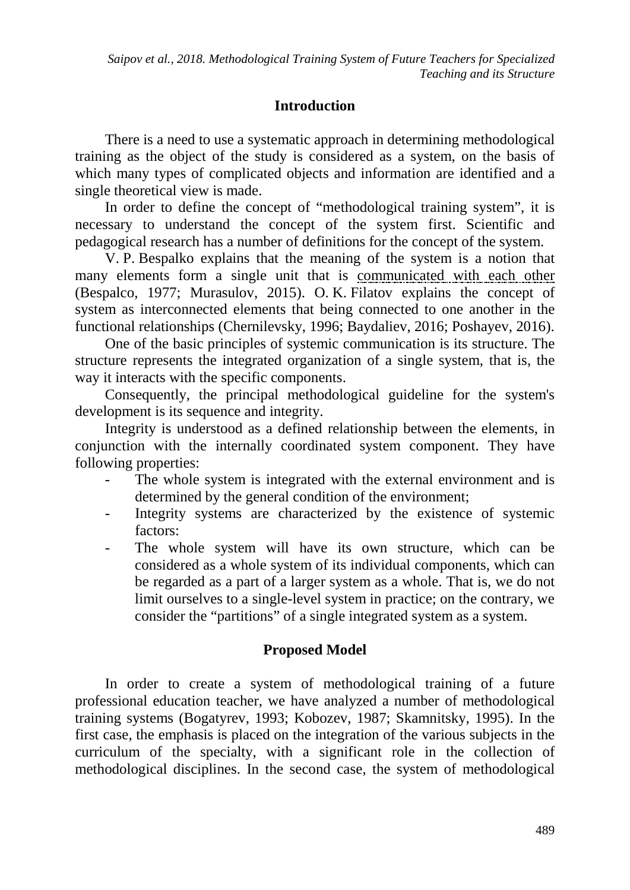## **Introduction**

There is a need to use a systematic approach in determining methodological training as the object of the study is considered as a system, on the basis of which many types of complicated objects and information are identified and a single theoretical view is made.

In order to define the concept of "methodological training system", it is necessary to understand the concept of the system first. Scientific and pedagogical research has a number of definitions for the concept of the system.

V. P. Bespalko explains that the meaning of the system is a notion that many elements form a single unit that is communicated with each other (Bespalco, 1977; Murasulov, 2015). O. K. Filatov explains the concept of system as interconnected elements that being connected to one another in the functional relationships (Chernilevsky, 1996; Baydaliev, 2016; Poshayev, 2016).

One of the basic principles of systemic communication is its structure. The structure represents the integrated organization of a single system, that is, the way it interacts with the specific components.

Consequently, the principal methodological guideline for the system's development is its sequence and integrity.

Integrity is understood as a defined relationship between the elements, in conjunction with the internally coordinated system component. They have following properties:

- The whole system is integrated with the external environment and is determined by the general condition of the environment;
- Integrity systems are characterized by the existence of systemic factors:
- The whole system will have its own structure, which can be considered as a whole system of its individual components, which can be regarded as a part of a larger system as a whole. That is, we do not limit ourselves to a single-level system in practice; on the contrary, we consider the "partitions" of a single integrated system as a system.

### **Proposed Model**

In order to create a system of methodological training of a future professional education teacher, we have analyzed a number of methodological training systems (Bogatyrev, 1993; Kobozev, 1987; Skamnitsky, 1995). In the first case, the emphasis is placed on the integration of the various subjects in the curriculum of the specialty, with a significant role in the collection of methodological disciplines. In the second case, the system of methodological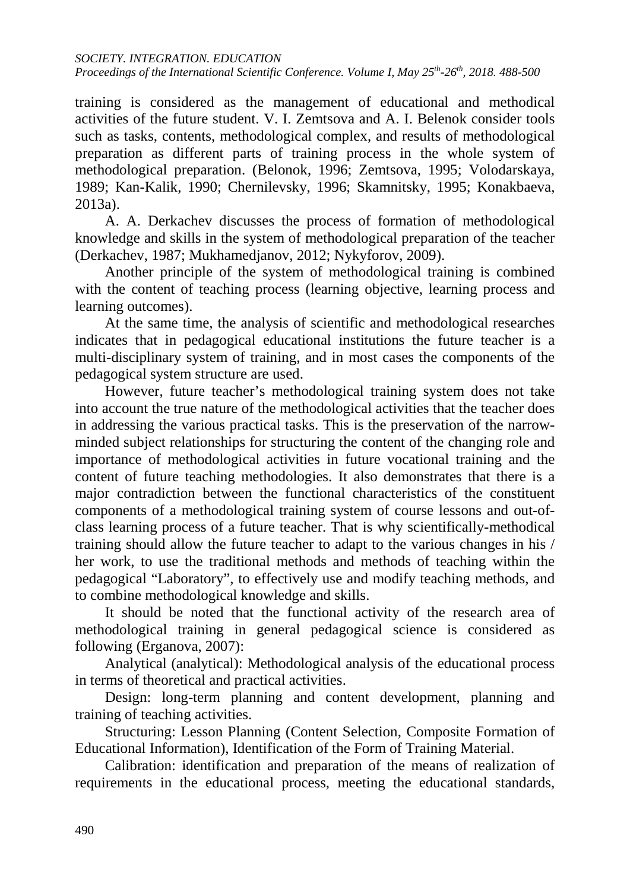*SOCIETY. INTEGRATION. EDUCATION Proceedings of the International Scientific Conference. Volume I, May 25th-26th, 2018. 488-500*

training is considered as the management of educational and methodical activities of the future student. V. I. Zemtsova and A. I. Belenok consider tools such as tasks, contents, methodological complex, and results of methodological preparation as different parts of training process in the whole system of methodological preparation. (Belonok, 1996; Zemtsova, 1995; Volodarskaya, 1989; Kan-Kalik, 1990; Chernilevsky, 1996; Skamnitsky, 1995; Konakbaeva, 2013a).

A. A. Derkachev discusses the process of formation of methodological knowledge and skills in the system of methodological preparation of the teacher (Derkachev, 1987; Mukhamedjanov, 2012; Nykyforov, 2009).

Another principle of the system of methodological training is combined with the content of teaching process (learning objective, learning process and learning outcomes).

At the same time, the analysis of scientific and methodological researches indicates that in pedagogical educational institutions the future teacher is a multi-disciplinary system of training, and in most cases the components of the pedagogical system structure are used.

However, future teacher's methodological training system does not take into account the true nature of the methodological activities that the teacher does in addressing the various practical tasks. This is the preservation of the narrowminded subject relationships for structuring the content of the changing role and importance of methodological activities in future vocational training and the content of future teaching methodologies. It also demonstrates that there is a major contradiction between the functional characteristics of the constituent components of a methodological training system of course lessons and out-ofclass learning process of a future teacher. That is why scientifically-methodical training should allow the future teacher to adapt to the various changes in his / her work, to use the traditional methods and methods of teaching within the pedagogical "Laboratory", to effectively use and modify teaching methods, and to combine methodological knowledge and skills.

It should be noted that the functional activity of the research area of methodological training in general pedagogical science is considered as following (Erganova, 2007):

Analytical (analytical): Methodological analysis of the educational process in terms of theoretical and practical activities.

Design: long-term planning and content development, planning and training of teaching activities.

Structuring: Lesson Planning (Content Selection, Composite Formation of Educational Information), Identification of the Form of Training Material.

Calibration: identification and preparation of the means of realization of requirements in the educational process, meeting the educational standards,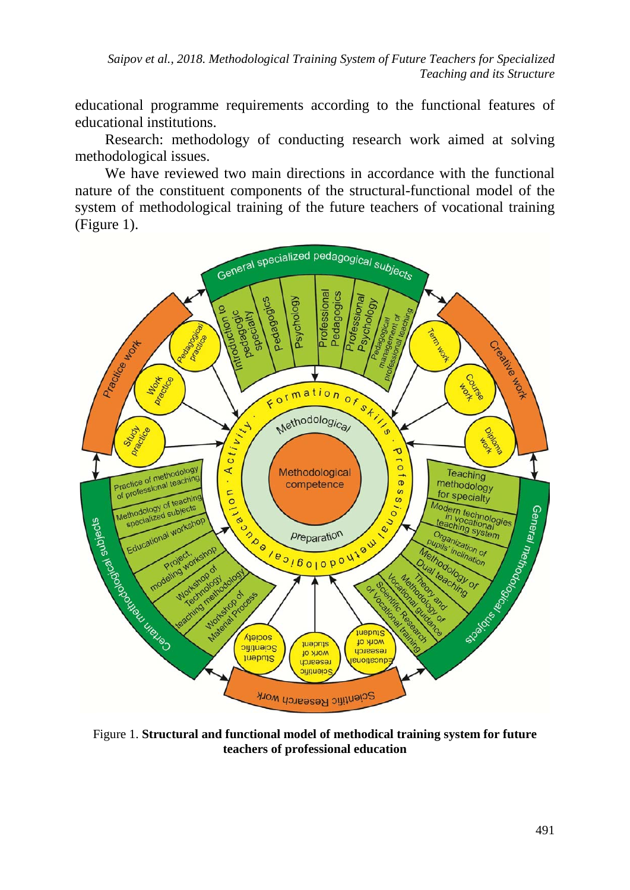*Saipov et al., 2018. Methodological Training System of Future Teachers for Specialized Teaching and its Structure*

educational programme requirements according to the functional features of educational institutions.

Research: methodology of conducting research work aimed at solving methodological issues.

We have reviewed two main directions in accordance with the functional nature of the constituent components of the structural-functional model of the system of methodological training of the future teachers of vocational training (Figure 1).



Figure 1. **Structural and functional model of methodical training system for future teachers of professional education**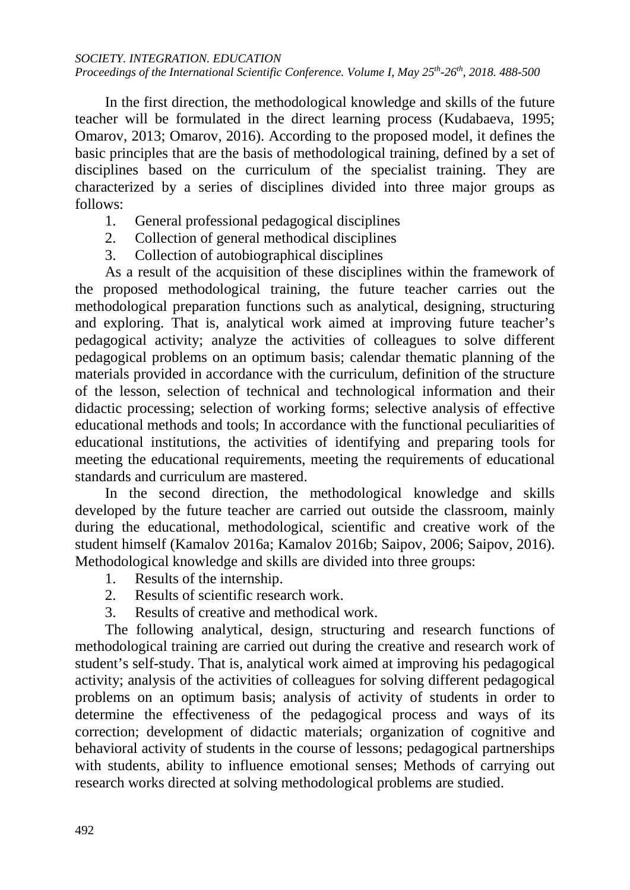#### *SOCIETY. INTEGRATION. EDUCATION*

### *Proceedings of the International Scientific Conference. Volume I, May 25<sup>th</sup>-26<sup>th</sup>, 2018. 488-500*

In the first direction, the methodological knowledge and skills of the future teacher will be formulated in the direct learning process (Kudabaeva, 1995; Omarov, 2013; Omarov, 2016). According to the proposed model, it defines the basic principles that are the basis of methodological training, defined by a set of disciplines based on the curriculum of the specialist training. They are characterized by a series of disciplines divided into three major groups as follows:

- 1. General professional pedagogical disciplines
- 2. Collection of general methodical disciplines
- 3. Collection of autobiographical disciplines

As a result of the acquisition of these disciplines within the framework of the proposed methodological training, the future teacher carries out the methodological preparation functions such as analytical, designing, structuring and exploring. That is, analytical work aimed at improving future teacher's pedagogical activity; analyze the activities of colleagues to solve different pedagogical problems on an optimum basis; calendar thematic planning of the materials provided in accordance with the curriculum, definition of the structure of the lesson, selection of technical and technological information and their didactic processing; selection of working forms; selective analysis of effective educational methods and tools; In accordance with the functional peculiarities of educational institutions, the activities of identifying and preparing tools for meeting the educational requirements, meeting the requirements of educational standards and curriculum are mastered.

In the second direction, the methodological knowledge and skills developed by the future teacher are carried out outside the classroom, mainly during the educational, methodological, scientific and creative work of the student himself (Kamalov 2016a; Kamalov 2016b; Saipov, 2006; Saipov, 2016). Methodological knowledge and skills are divided into three groups:

- 1. Results of the internship.
- 2. Results of scientific research work.
- 3. Results of creative and methodical work.

The following analytical, design, structuring and research functions of methodological training are carried out during the creative and research work of student's self-study. That is, analytical work aimed at improving his pedagogical activity; analysis of the activities of colleagues for solving different pedagogical problems on an optimum basis; analysis of activity of students in order to determine the effectiveness of the pedagogical process and ways of its correction; development of didactic materials; organization of cognitive and behavioral activity of students in the course of lessons; pedagogical partnerships with students, ability to influence emotional senses; Methods of carrying out research works directed at solving methodological problems are studied.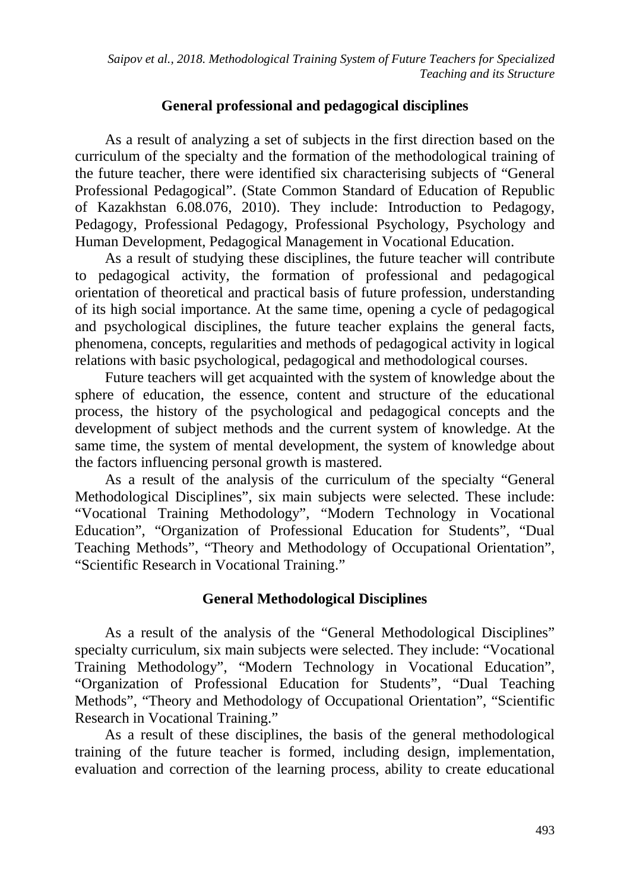*Saipov et al., 2018. Methodological Training System of Future Teachers for Specialized Teaching and its Structure*

### **General professional and pedagogical disciplines**

As a result of analyzing a set of subjects in the first direction based on the curriculum of the specialty and the formation of the methodological training of the future teacher, there were identified six characterising subjects of "General Professional Pedagogical". (State Common Standard of Education of Republic of Kazakhstan 6.08.076, 2010). They include: Introduction to Pedagogy, Pedagogy, Professional Pedagogy, Professional Psychology, Psychology and Human Development, Pedagogical Management in Vocational Education.

As a result of studying these disciplines, the future teacher will contribute to pedagogical activity, the formation of professional and pedagogical orientation of theoretical and practical basis of future profession, understanding of its high social importance. At the same time, opening a cycle of pedagogical and psychological disciplines, the future teacher explains the general facts, phenomena, concepts, regularities and methods of pedagogical activity in logical relations with basic psychological, pedagogical and methodological courses.

Future teachers will get acquainted with the system of knowledge about the sphere of education, the essence, content and structure of the educational process, the history of the psychological and pedagogical concepts and the development of subject methods and the current system of knowledge. At the same time, the system of mental development, the system of knowledge about the factors influencing personal growth is mastered.

As a result of the analysis of the curriculum of the specialty "General Methodological Disciplines", six main subjects were selected. These include: "Vocational Training Methodology", "Modern Technology in Vocational Education", "Organization of Professional Education for Students", "Dual Teaching Methods", "Theory and Methodology of Occupational Orientation", "Scientific Research in Vocational Training."

### **General Methodological Disciplines**

As a result of the analysis of the "General Methodological Disciplines" specialty curriculum, six main subjects were selected. They include: "Vocational Training Methodology", "Modern Technology in Vocational Education", "Organization of Professional Education for Students", "Dual Teaching Methods", "Theory and Methodology of Occupational Orientation", "Scientific Research in Vocational Training."

As a result of these disciplines, the basis of the general methodological training of the future teacher is formed, including design, implementation, evaluation and correction of the learning process, ability to create educational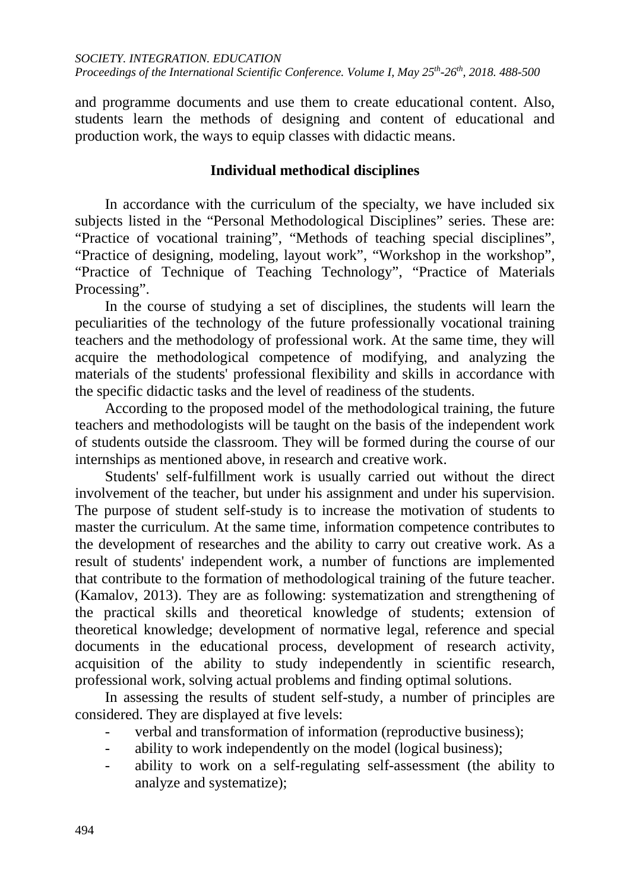and programme documents and use them to create educational content. Also, students learn the methods of designing and content of educational and production work, the ways to equip classes with didactic means.

### **Individual methodical disciplines**

In accordance with the curriculum of the specialty, we have included six subjects listed in the "Personal Methodological Disciplines" series. These are: "Practice of vocational training", "Methods of teaching special disciplines", "Practice of designing, modeling, layout work", "Workshop in the workshop", "Practice of Technique of Teaching Technology", "Practice of Materials Processing".

In the course of studying a set of disciplines, the students will learn the peculiarities of the technology of the future professionally vocational training teachers and the methodology of professional work. At the same time, they will acquire the methodological competence of modifying, and analyzing the materials of the students' professional flexibility and skills in accordance with the specific didactic tasks and the level of readiness of the students.

According to the proposed model of the methodological training, the future teachers and methodologists will be taught on the basis of the independent work of students outside the classroom. They will be formed during the course of our internships as mentioned above, in research and creative work.

Students' self-fulfillment work is usually carried out without the direct involvement of the teacher, but under his assignment and under his supervision. The purpose of student self-study is to increase the motivation of students to master the curriculum. At the same time, information competence contributes to the development of researches and the ability to carry out creative work. As a result of students' independent work, a number of functions are implemented that contribute to the formation of methodological training of the future teacher. (Kamalov, 2013). They are as following: systematization and strengthening of the practical skills and theoretical knowledge of students; extension of theoretical knowledge; development of normative legal, reference and special documents in the educational process, development of research activity, acquisition of the ability to study independently in scientific research, professional work, solving actual problems and finding optimal solutions.

In assessing the results of student self-study, a number of principles are considered. They are displayed at five levels:

- verbal and transformation of information (reproductive business);
- ability to work independently on the model (logical business);
- ability to work on a self-regulating self-assessment (the ability to analyze and systematize);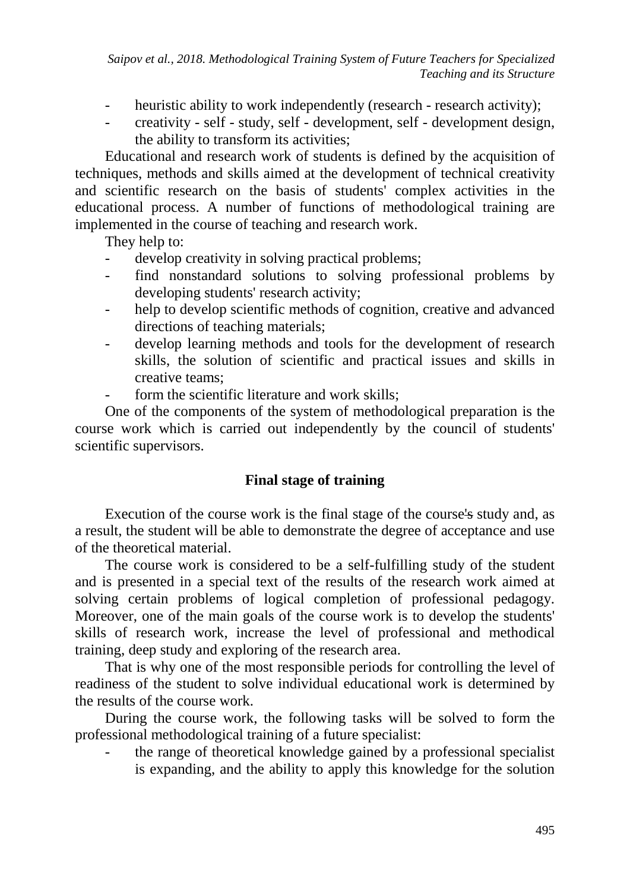*Saipov et al., 2018. Methodological Training System of Future Teachers for Specialized Teaching and its Structure*

- heuristic ability to work independently (research research activity);
- creativity self study, self development, self development design, the ability to transform its activities;

Educational and research work of students is defined by the acquisition of techniques, methods and skills aimed at the development of technical creativity and scientific research on the basis of students' complex activities in the educational process. A number of functions of methodological training are implemented in the course of teaching and research work.

They help to:

- develop creativity in solving practical problems;
- find nonstandard solutions to solving professional problems by developing students' research activity;
- help to develop scientific methods of cognition, creative and advanced directions of teaching materials;
- develop learning methods and tools for the development of research skills, the solution of scientific and practical issues and skills in creative teams;
- form the scientific literature and work skills;

One of the components of the system of methodological preparation is the course work which is carried out independently by the council of students' scientific supervisors.

### **Final stage of training**

Execution of the course work is the final stage of the course's study and, as a result, the student will be able to demonstrate the degree of acceptance and use of the theoretical material.

The course work is considered to be a self-fulfilling study of the student and is presented in a special text of the results of the research work aimed at solving certain problems of logical completion of professional pedagogy. Moreover, one of the main goals of the course work is to develop the students' skills of research work, increase the level of professional and methodical training, deep study and exploring of the research area.

That is why one of the most responsible periods for controlling the level of readiness of the student to solve individual educational work is determined by the results of the course work.

During the course work, the following tasks will be solved to form the professional methodological training of a future specialist:

the range of theoretical knowledge gained by a professional specialist is expanding, and the ability to apply this knowledge for the solution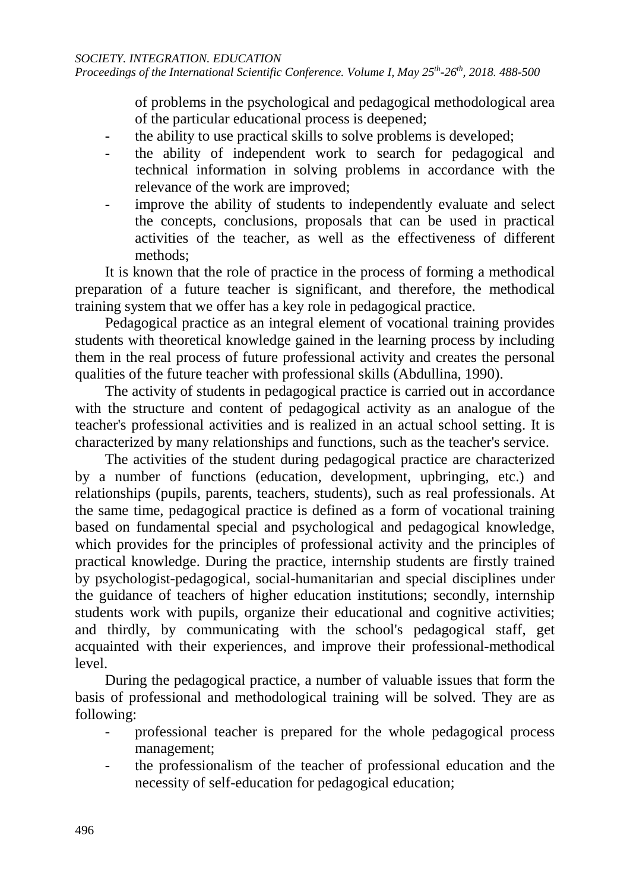of problems in the psychological and pedagogical methodological area of the particular educational process is deepened;

- the ability to use practical skills to solve problems is developed;
- the ability of independent work to search for pedagogical and technical information in solving problems in accordance with the relevance of the work are improved;
- improve the ability of students to independently evaluate and select the concepts, conclusions, proposals that can be used in practical activities of the teacher, as well as the effectiveness of different methods;

It is known that the role of practice in the process of forming a methodical preparation of a future teacher is significant, and therefore, the methodical training system that we offer has a key role in pedagogical practice.

Pedagogical practice as an integral element of vocational training provides students with theoretical knowledge gained in the learning process by including them in the real process of future professional activity and creates the personal qualities of the future teacher with professional skills (Abdullina, 1990).

The activity of students in pedagogical practice is carried out in accordance with the structure and content of pedagogical activity as an analogue of the teacher's professional activities and is realized in an actual school setting. It is characterized by many relationships and functions, such as the teacher's service.

The activities of the student during pedagogical practice are characterized by a number of functions (education, development, upbringing, etc.) and relationships (pupils, parents, teachers, students), such as real professionals. At the same time, pedagogical practice is defined as a form of vocational training based on fundamental special and psychological and pedagogical knowledge, which provides for the principles of professional activity and the principles of practical knowledge. During the practice, internship students are firstly trained by psychologist-pedagogical, social-humanitarian and special disciplines under the guidance of teachers of higher education institutions; secondly, internship students work with pupils, organize their educational and cognitive activities; and thirdly, by communicating with the school's pedagogical staff, get acquainted with their experiences, and improve their professional-methodical level.

During the pedagogical practice, a number of valuable issues that form the basis of professional and methodological training will be solved. They are as following:

- professional teacher is prepared for the whole pedagogical process management;
- the professionalism of the teacher of professional education and the necessity of self-education for pedagogical education;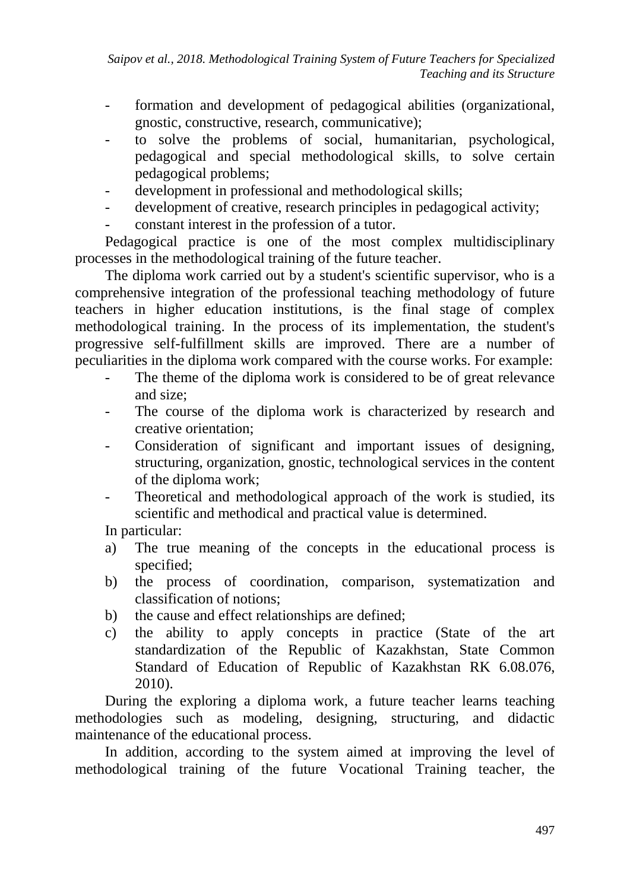- formation and development of pedagogical abilities (organizational, gnostic, constructive, research, communicative);
- to solve the problems of social, humanitarian, psychological, pedagogical and special methodological skills, to solve certain pedagogical problems;
- development in professional and methodological skills;
- development of creative, research principles in pedagogical activity;
- constant interest in the profession of a tutor.

Pedagogical practice is one of the most complex multidisciplinary processes in the methodological training of the future teacher.

The diploma work carried out by a student's scientific supervisor, who is a comprehensive integration of the professional teaching methodology of future teachers in higher education institutions, is the final stage of complex methodological training. In the process of its implementation, the student's progressive self-fulfillment skills are improved. There are a number of peculiarities in the diploma work compared with the course works. For example:

- The theme of the diploma work is considered to be of great relevance and size;
- The course of the diploma work is characterized by research and creative orientation;
- Consideration of significant and important issues of designing, structuring, organization, gnostic, technological services in the content of the diploma work;
- Theoretical and methodological approach of the work is studied, its scientific and methodical and practical value is determined.

In particular:

- a) The true meaning of the concepts in the educational process is specified;
- b) the process of coordination, comparison, systematization and classification of notions;
- b) the cause and effect relationships are defined;
- c) the ability to apply concepts in practice (State of the art standardization of the Republic of Kazakhstan, State Common Standard of Education of Republic of Kazakhstan RK 6.08.076, 2010).

During the exploring a diploma work, a future teacher learns teaching methodologies such as modeling, designing, structuring, and didactic maintenance of the educational process.

In addition, according to the system aimed at improving the level of methodological training of the future Vocational Training teacher, the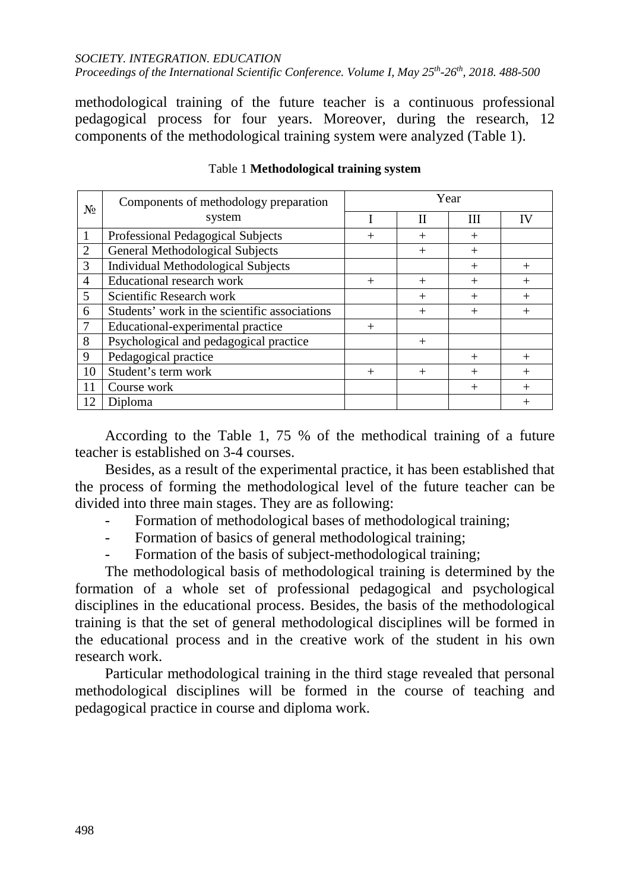### *SOCIETY. INTEGRATION. EDUCATION*

*Proceedings of the International Scientific Conference. Volume I, May 25th-26th, 2018. 488-500*

methodological training of the future teacher is a continuous professional pedagogical process for four years. Moreover, during the research, 12 components of the methodological training system were analyzed (Table 1).

| $N_2$          | Components of methodology preparation<br>system | Year   |        |        |        |
|----------------|-------------------------------------------------|--------|--------|--------|--------|
|                |                                                 |        | П      | Ш      | IV     |
|                | Professional Pedagogical Subjects               | $^{+}$ | $^{+}$ | $^{+}$ |        |
| $\overline{2}$ | <b>General Methodological Subjects</b>          |        | $^{+}$ | $^{+}$ |        |
| 3              | <b>Individual Methodological Subjects</b>       |        |        | $^{+}$ | $^{+}$ |
| $\overline{4}$ | <b>Educational research work</b>                | $^{+}$ | $^{+}$ | $^{+}$ | $^{+}$ |
| 5              | Scientific Research work                        |        | $^{+}$ | $^{+}$ | $^{+}$ |
| 6              | Students' work in the scientific associations   |        | $^{+}$ | $^{+}$ | $^{+}$ |
| $\overline{7}$ | Educational-experimental practice               | $^{+}$ |        |        |        |
| 8              | Psychological and pedagogical practice          |        | $^{+}$ |        |        |
| 9              | Pedagogical practice                            |        |        | $^{+}$ | $^{+}$ |
| 10             | Student's term work                             | $^{+}$ | $^{+}$ | $^{+}$ | $^{+}$ |
| 11             | Course work                                     |        |        | $^{+}$ | $^{+}$ |
| 12             | Diploma                                         |        |        |        | $^{+}$ |

#### Table 1 **Methodological training system**

According to the Table 1, 75 % of the methodical training of a future teacher is established on 3-4 courses.

Besides, as a result of the experimental practice, it has been established that the process of forming the methodological level of the future teacher can be divided into three main stages. They are as following:

- Formation of methodological bases of methodological training;
- Formation of basics of general methodological training:
- Formation of the basis of subject-methodological training;

The methodological basis of methodological training is determined by the formation of a whole set of professional pedagogical and psychological disciplines in the educational process. Besides, the basis of the methodological training is that the set of general methodological disciplines will be formed in the educational process and in the creative work of the student in his own research work.

Particular methodological training in the third stage revealed that personal methodological disciplines will be formed in the course of teaching and pedagogical practice in course and diploma work.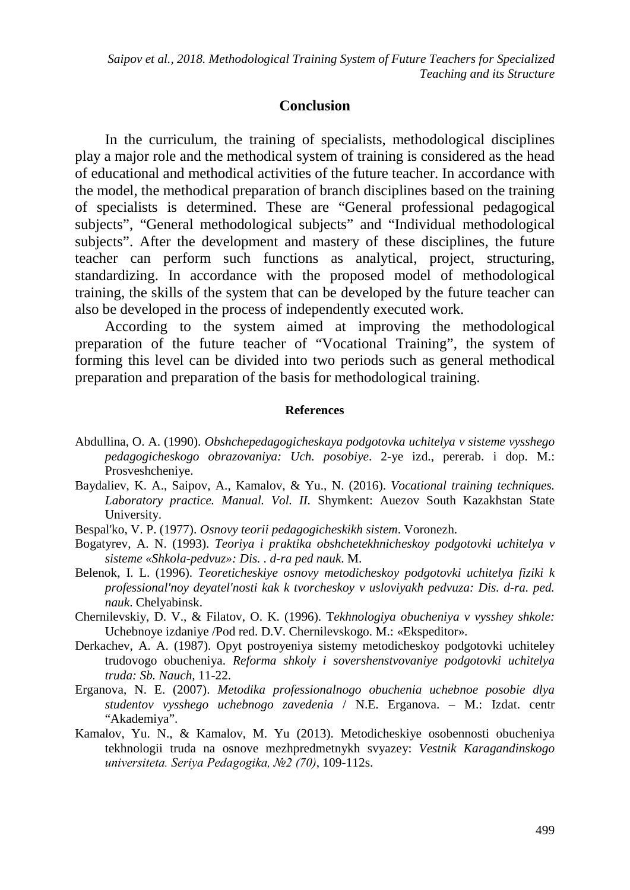### **Conclusion**

In the curriculum, the training of specialists, methodological disciplines play a major role and the methodical system of training is considered as the head of educational and methodical activities of the future teacher. In accordance with the model, the methodical preparation of branch disciplines based on the training of specialists is determined. These are "General professional pedagogical subjects", "General methodological subjects" and "Individual methodological subjects". After the development and mastery of these disciplines, the future teacher can perform such functions as analytical, project, structuring, standardizing. In accordance with the proposed model of methodological training, the skills of the system that can be developed by the future teacher can also be developed in the process of independently executed work.

According to the system aimed at improving the methodological preparation of the future teacher of "Vocational Training", the system of forming this level can be divided into two periods such as general methodical preparation and preparation of the basis for methodological training.

#### **References**

- Abdullina, O. A. (1990). *Obshchepedagogicheskaya podgotovka uchitelya v sisteme vysshego pedagogicheskogo obrazovaniya: Uch. posobiye*. 2-ye izd., pererab. i dop. M.: Prosveshcheniye.
- Baydaliev, K. A., Saipov, A., Kamalov, & Yu., N. (2016). *Vocational training techniques. Laboratory practice. Manual. Vol. II.* Shymkent: Auezov South Kazakhstan State University.
- Bespal'ko, V. P. (1977). *Osnovy teorii pedagogicheskikh sistem*. Voronezh.
- Bogatyrev, A. N. (1993). *Teoriya i praktika obshchetekhnicheskoy podgotovki uchitelya v sisteme «Shkola-pedvuz»: Dis. . d-ra ped nauk*. M.
- Belenok, I. L. (1996). *Teoreticheskiye osnovy metodicheskoy podgotovki uchitelya fiziki k professional'noy deyatel'nosti kak k tvorcheskoy v usloviyakh pedvuza: Dis. d-ra. ped. nauk*. Chelyabinsk.
- Chernilevskiy, D. V., & Filatov, O. K. (1996). T*ekhnologiya obucheniya v vysshey shkole:*  Uchebnoye izdaniye /Pod red. D.V. Chernilevskogo. M.: «Ekspeditor».
- Derkachev, A. A. (1987). Opyt postroyeniya sistemy metodicheskoy podgotovki uchiteley trudovogo obucheniya. *Reforma shkoly i sovershenstvovaniye podgotovki uchitelya truda: Sb. Nauch,* 11-22.
- Erganova, N. E. (2007). *Metodika professionalnogo obuchenia uchebnoe posobie dlya studentov vysshego uchebnogo zavedenia* / N.E. Erganova. – M.: Izdat. centr "Akademiya".
- Kamalov, Yu. N., & Kamalov, M. Yu (2013). Metodicheskiye osobennosti obucheniya tekhnologii truda na osnove mezhpredmetnykh svyazey: *Vestnik Karagandinskogo universiteta. Seriya Pedagogika, №2 (70)*, 109-112s.